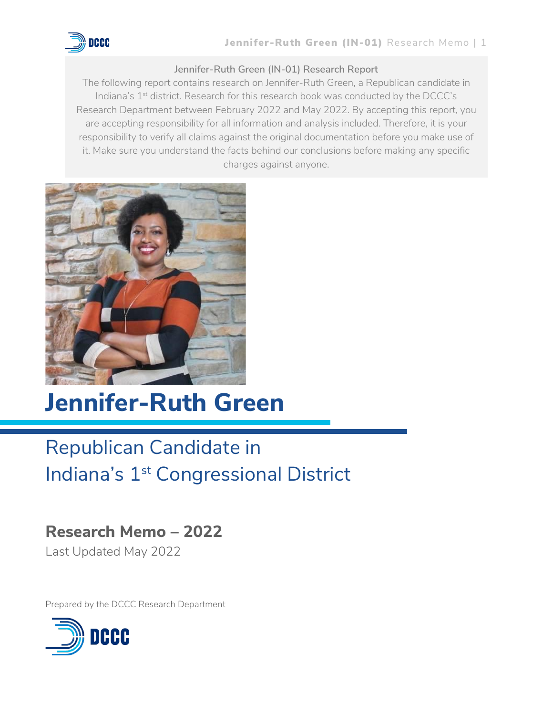

#### **Jennifer-Ruth Green (IN-01) Research Report**

The following report contains research on Jennifer-Ruth Green, a Republican candidate in Indiana's 1<sup>st</sup> district. Research for this research book was conducted by the DCCC's Research Department between February 2022 and May 2022. By accepting this report, you are accepting responsibility for all information and analysis included. Therefore, it is your responsibility to verify all claims against the original documentation before you make use of it. Make sure you understand the facts behind our conclusions before making any specific charges against anyone.



# **Jennifer-Ruth Green**

## Republican Candidate in Indiana's 1<sup>st</sup> Congressional District

## **Research Memo – 2022**

Last Updated May 2022

Prepared by the DCCC Research Department

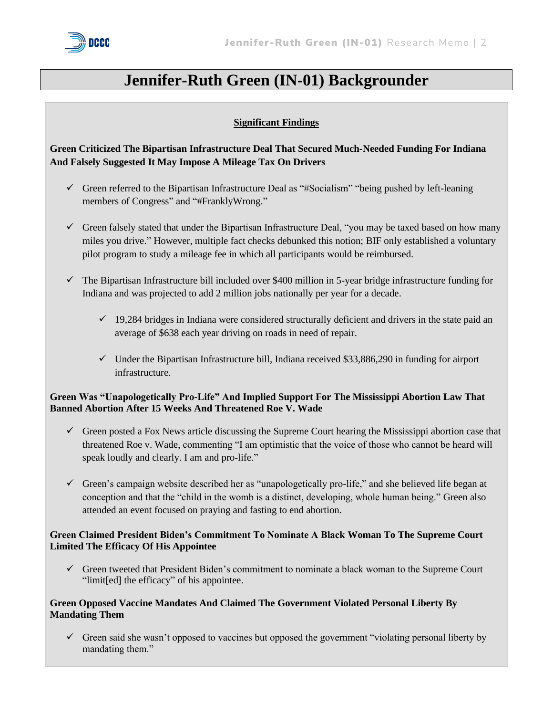

### **Jennifer-Ruth Green (IN-01) Backgrounder**

#### **Significant Findings**

#### **Green Criticized The Bipartisan Infrastructure Deal That Secured Much-Needed Funding For Indiana And Falsely Suggested It May Impose A Mileage Tax On Drivers**

- ✓ Green referred to the Bipartisan Infrastructure Deal as "#Socialism" "being pushed by left-leaning members of Congress" and "#FranklyWrong."
- ✓ Green falsely stated that under the Bipartisan Infrastructure Deal, "you may be taxed based on how many miles you drive." However, multiple fact checks debunked this notion; BIF only established a voluntary pilot program to study a mileage fee in which all participants would be reimbursed.
- ✓ The Bipartisan Infrastructure bill included over \$400 million in 5-year bridge infrastructure funding for Indiana and was projected to add 2 million jobs nationally per year for a decade.
	- $\checkmark$  19,284 bridges in Indiana were considered structurally deficient and drivers in the state paid an average of \$638 each year driving on roads in need of repair.
	- $\checkmark$  Under the Bipartisan Infrastructure bill, Indiana received \$33,886,290 in funding for airport infrastructure.

#### **Green Was "Unapologetically Pro-Life" And Implied Support For The Mississippi Abortion Law That Banned Abortion After 15 Weeks And Threatened Roe V. Wade**

- $\checkmark$  Green posted a Fox News article discussing the Supreme Court hearing the Mississippi abortion case that threatened Roe v. Wade, commenting "I am optimistic that the voice of those who cannot be heard will speak loudly and clearly. I am and pro-life."
- ✓ Green's campaign website described her as "unapologetically pro-life," and she believed life began at conception and that the "child in the womb is a distinct, developing, whole human being." Green also attended an event focused on praying and fasting to end abortion.

#### **Green Claimed President Biden's Commitment To Nominate A Black Woman To The Supreme Court Limited The Efficacy Of His Appointee**

 $\checkmark$  Green tweeted that President Biden's commitment to nominate a black woman to the Supreme Court "limit[ed] the efficacy" of his appointee.

#### **Green Opposed Vaccine Mandates And Claimed The Government Violated Personal Liberty By Mandating Them**

 $\checkmark$  Green said she wasn't opposed to vaccines but opposed the government "violating personal liberty by mandating them."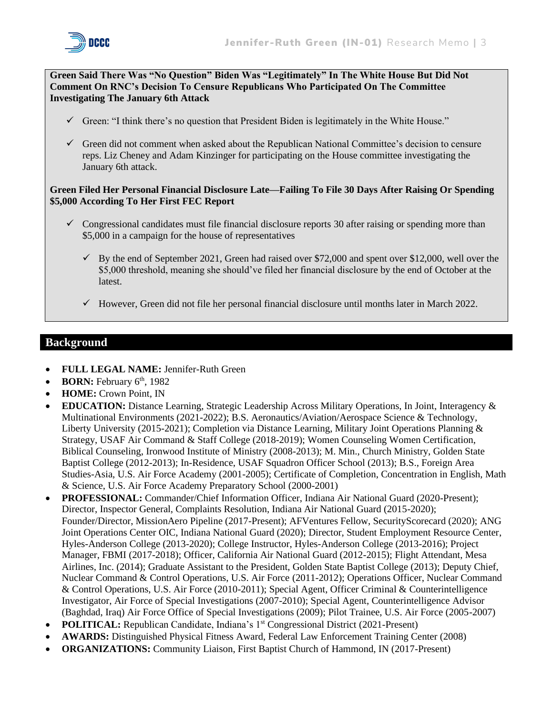

**Green Said There Was "No Question" Biden Was "Legitimately" In The White House But Did Not Comment On RNC's Decision To Censure Republicans Who Participated On The Committee Investigating The January 6th Attack**

- $\checkmark$  Green: "I think there's no question that President Biden is legitimately in the White House."
- ✓ Green did not comment when asked about the Republican National Committee's decision to censure reps. Liz Cheney and Adam Kinzinger for participating on the House committee investigating the January 6th attack.

#### **Green Filed Her Personal Financial Disclosure Late—Failing To File 30 Days After Raising Or Spending \$5,000 According To Her First FEC Report**

- $\checkmark$  Congressional candidates must file financial disclosure reports 30 after raising or spending more than \$5,000 in a campaign for the house of representatives
	- $\checkmark$  By the end of September 2021, Green had raised over \$72,000 and spent over \$12,000, well over the \$5,000 threshold, meaning she should've filed her financial disclosure by the end of October at the latest.
	- $\checkmark$  However, Green did not file her personal financial disclosure until months later in March 2022.

#### **Background**

- **FULL LEGAL NAME:** Jennifer-Ruth Green
- **BORN:** February 6<sup>th</sup>, 1982
- **HOME:** Crown Point, IN
- **EDUCATION:** Distance Learning, Strategic Leadership Across Military Operations, In Joint, Interagency & Multinational Environments (2021-2022); B.S. Aeronautics/Aviation/Aerospace Science & Technology, Liberty University (2015-2021); Completion via Distance Learning, Military Joint Operations Planning & Strategy, USAF Air Command & Staff College (2018-2019); Women Counseling Women Certification, Biblical Counseling, Ironwood Institute of Ministry (2008-2013); M. Min., Church Ministry, Golden State Baptist College (2012-2013); In-Residence, USAF Squadron Officer School (2013); B.S., Foreign Area Studies-Asia, U.S. Air Force Academy (2001-2005); Certificate of Completion, Concentration in English, Math & Science, U.S. Air Force Academy Preparatory School (2000-2001)
- **PROFESSIONAL:** Commander/Chief Information Officer, Indiana Air National Guard (2020-Present); Director, Inspector General, Complaints Resolution, Indiana Air National Guard (2015-2020); Founder/Director, MissionAero Pipeline (2017-Present); AFVentures Fellow, SecurityScorecard (2020); ANG Joint Operations Center OIC, Indiana National Guard (2020); Director, Student Employment Resource Center, Hyles-Anderson College (2013-2020); College Instructor, Hyles-Anderson College (2013-2016); Project Manager, FBMI (2017-2018); Officer, California Air National Guard (2012-2015); Flight Attendant, Mesa Airlines, Inc. (2014); Graduate Assistant to the President, Golden State Baptist College (2013); Deputy Chief, Nuclear Command & Control Operations, U.S. Air Force (2011-2012); Operations Officer, Nuclear Command & Control Operations, U.S. Air Force (2010-2011); Special Agent, Officer Criminal & Counterintelligence Investigator, Air Force of Special Investigations (2007-2010); Special Agent, Counterintelligence Advisor (Baghdad, Iraq) Air Force Office of Special Investigations (2009); Pilot Trainee, U.S. Air Force (2005-2007)
- **POLITICAL:** Republican Candidate, Indiana's 1<sup>st</sup> Congressional District (2021-Present)
- **AWARDS:** Distinguished Physical Fitness Award, Federal Law Enforcement Training Center (2008)
- **ORGANIZATIONS:** Community Liaison, First Baptist Church of Hammond, IN (2017-Present)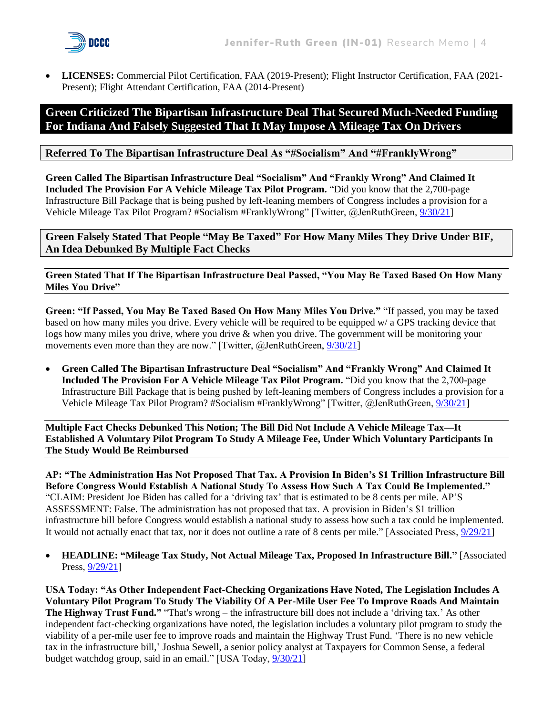

• **LICENSES:** Commercial Pilot Certification, FAA (2019-Present); Flight Instructor Certification, FAA (2021- Present); Flight Attendant Certification, FAA (2014-Present)

#### **Green Criticized The Bipartisan Infrastructure Deal That Secured Much-Needed Funding For Indiana And Falsely Suggested That It May Impose A Mileage Tax On Drivers**

#### **Referred To The Bipartisan Infrastructure Deal As "#Socialism" And "#FranklyWrong"**

**Green Called The Bipartisan Infrastructure Deal "Socialism" And "Frankly Wrong" And Claimed It Included The Provision For A Vehicle Mileage Tax Pilot Program.** "Did you know that the 2,700-page Infrastructure Bill Package that is being pushed by left-leaning members of Congress includes a provision for a Vehicle Mileage Tax Pilot Program? #Socialism #FranklyWrong" [Twitter, @JenRuthGreen[, 9/30/21\]](https://twitter.com/JenRuthGreen/status/1443652509298577415)

**Green Falsely Stated That People "May Be Taxed" For How Many Miles They Drive Under BIF, An Idea Debunked By Multiple Fact Checks**

**Green Stated That If The Bipartisan Infrastructure Deal Passed, "You May Be Taxed Based On How Many Miles You Drive"**

**Green: "If Passed, You May Be Taxed Based On How Many Miles You Drive."** "If passed, you may be taxed based on how many miles you drive. Every vehicle will be required to be equipped w/ a GPS tracking device that logs how many miles you drive, where you drive & when you drive. The government will be monitoring your movements even more than they are now." [Twitter, @JenRuthGreen,  $9/30/21$ ]

• **Green Called The Bipartisan Infrastructure Deal "Socialism" And "Frankly Wrong" And Claimed It Included The Provision For A Vehicle Mileage Tax Pilot Program.** "Did you know that the 2,700-page Infrastructure Bill Package that is being pushed by left-leaning members of Congress includes a provision for a Vehicle Mileage Tax Pilot Program? #Socialism #FranklyWrong" [Twitter, @JenRuthGreen[, 9/30/21\]](https://twitter.com/JenRuthGreen/status/1443652509298577415)

**Multiple Fact Checks Debunked This Notion; The Bill Did Not Include A Vehicle Mileage Tax—It Established A Voluntary Pilot Program To Study A Mileage Fee, Under Which Voluntary Participants In The Study Would Be Reimbursed**

**AP: "The Administration Has Not Proposed That Tax. A Provision In Biden's \$1 Trillion Infrastructure Bill Before Congress Would Establish A National Study To Assess How Such A Tax Could Be Implemented."** "CLAIM: President Joe Biden has called for a 'driving tax' that is estimated to be 8 cents per mile. AP'S ASSESSMENT: False. The administration has not proposed that tax. A provision in Biden's \$1 trillion infrastructure bill before Congress would establish a national study to assess how such a tax could be implemented. It would not actually enact that tax, nor it does not outline a rate of 8 cents per mile." [Associated Press,  $\frac{9}{29/21}$ ]

• **HEADLINE: "Mileage Tax Study, Not Actual Mileage Tax, Proposed In Infrastructure Bill."** [Associated Press, [9/29/21\]](https://apnews.com/article/fact-checking-907285011746)

**USA Today: "As Other Independent Fact-Checking Organizations Have Noted, The Legislation Includes A Voluntary Pilot Program To Study The Viability Of A Per-Mile User Fee To Improve Roads And Maintain The Highway Trust Fund."** "That's wrong – the infrastructure bill does not include a 'driving tax.' As other independent fact-checking organizations have noted, the legislation includes a voluntary pilot program to study the viability of a per-mile user fee to improve roads and maintain the Highway Trust Fund. 'There is no new vehicle tax in the infrastructure bill,' Joshua Sewell, a senior policy analyst at Taxpayers for Common Sense, a federal budget watchdog group, said in an email." [USA Today,  $9/30/21$ ]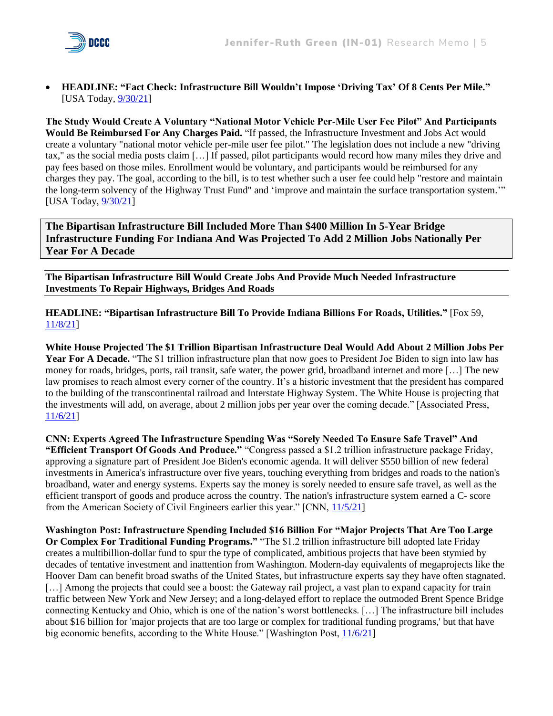

• **HEADLINE: "Fact Check: Infrastructure Bill Wouldn't Impose 'Driving Tax' Of 8 Cents Per Mile."** [USA Today, [9/30/21\]](https://www.usatoday.com/story/news/factcheck/2021/09/30/fact-check-no-driving-tax-8-cents-mile-infrastructure-bill/5928257001/)

**The Study Would Create A Voluntary "National Motor Vehicle Per-Mile User Fee Pilot" And Participants Would Be Reimbursed For Any Charges Paid.** "If passed, the Infrastructure Investment and Jobs Act would create a voluntary "national motor vehicle per-mile user fee pilot." The legislation does not include a new "driving tax," as the social media posts claim […] If passed, pilot participants would record how many miles they drive and pay fees based on those miles. Enrollment would be voluntary, and participants would be reimbursed for any charges they pay. The goal, according to the bill, is to test whether such a user fee could help "restore and maintain the long-term solvency of the Highway Trust Fund" and 'improve and maintain the surface transportation system.'" [USA Today, [9/30/21\]](https://www.usatoday.com/story/news/factcheck/2021/09/30/fact-check-no-driving-tax-8-cents-mile-infrastructure-bill/5928257001/)

**The Bipartisan Infrastructure Bill Included More Than \$400 Million In 5-Year Bridge Infrastructure Funding For Indiana And Was Projected To Add 2 Million Jobs Nationally Per Year For A Decade**

**The Bipartisan Infrastructure Bill Would Create Jobs And Provide Much Needed Infrastructure Investments To Repair Highways, Bridges And Roads**

**HEADLINE: "Bipartisan Infrastructure Bill To Provide Indiana Billions For Roads, Utilities."** [Fox 59, [11/8/21\]](https://fox59.com/indianapolitics/bipartisan-infrastructure-bill-to-provide-indiana-billions-for-roads-utilities/)

**White House Projected The \$1 Trillion Bipartisan Infrastructure Deal Would Add About 2 Million Jobs Per Year For A Decade.** "The \$1 trillion infrastructure plan that now goes to President Joe Biden to sign into law has money for roads, bridges, ports, rail transit, safe water, the power grid, broadband internet and more […] The new law promises to reach almost every corner of the country. It's a historic investment that the president has compared to the building of the transcontinental railroad and Interstate Highway System. The White House is projecting that the investments will add, on average, about 2 million jobs per year over the coming decade." [Associated Press, [11/6/21\]](https://apnews.com/article/joe-biden-technology-business-broadband-internet-congress-d89d6bb1b39cd9c67ae9fc91f5eb4c0d)

**CNN: Experts Agreed The Infrastructure Spending Was "Sorely Needed To Ensure Safe Travel" And "Efficient Transport Of Goods And Produce."** "Congress passed a \$1.2 trillion infrastructure package Friday, approving a signature part of President Joe Biden's economic agenda. It will deliver \$550 billion of new federal investments in America's infrastructure over five years, touching everything from bridges and roads to the nation's broadband, water and energy systems. Experts say the money is sorely needed to ensure safe travel, as well as the efficient transport of goods and produce across the country. The nation's infrastructure system earned a C- score from the American Society of Civil Engineers earlier this year." [CNN, [11/5/21\]](https://www.cnn.com/2021/07/28/politics/infrastructure-bill-explained/index.html)

**Washington Post: Infrastructure Spending Included \$16 Billion For "Major Projects That Are Too Large Or Complex For Traditional Funding Programs."** "The \$1.2 trillion infrastructure bill adopted late Friday creates a multibillion-dollar fund to spur the type of complicated, ambitious projects that have been stymied by decades of tentative investment and inattention from Washington. Modern-day equivalents of megaprojects like the Hoover Dam can benefit broad swaths of the United States, but infrastructure experts say they have often stagnated. [...] Among the projects that could see a boost: the Gateway rail project, a vast plan to expand capacity for train traffic between New York and New Jersey; and a long-delayed effort to replace the outmoded Brent Spence Bridge connecting Kentucky and Ohio, which is one of the nation's worst bottlenecks. […] The infrastructure bill includes about \$16 billion for 'major projects that are too large or complex for traditional funding programs,' but that have big economic benefits, according to the White House." [Washington Post, [11/6/21\]](https://www.washingtonpost.com/transportation/2021/11/06/infrastructure-big-projects-buttigieg/)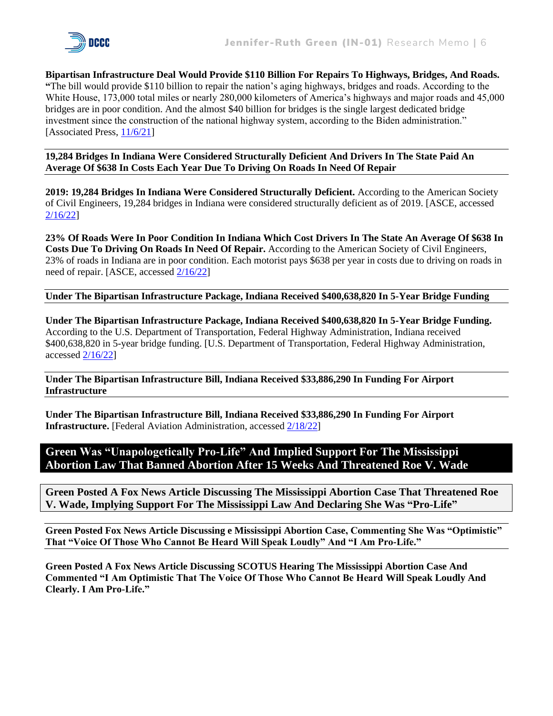

**Bipartisan Infrastructure Deal Would Provide \$110 Billion For Repairs To Highways, Bridges, And Roads. "**The bill would provide \$110 billion to repair the nation's aging highways, bridges and roads. According to the White House, 173,000 total miles or nearly 280,000 kilometers of America's highways and major roads and 45,000 bridges are in poor condition. And the almost \$40 billion for bridges is the single largest dedicated bridge investment since the construction of the national highway system, according to the Biden administration." [Associated Press, [11/6/21\]](https://apnews.com/article/joe-biden-technology-business-broadband-internet-congress-d89d6bb1b39cd9c67ae9fc91f5eb4c0d)

**19,284 Bridges In Indiana Were Considered Structurally Deficient And Drivers In The State Paid An Average Of \$638 In Costs Each Year Due To Driving On Roads In Need Of Repair**

**2019: 19,284 Bridges In Indiana Were Considered Structurally Deficient.** According to the American Society of Civil Engineers, 19,284 bridges in Indiana were considered structurally deficient as of 2019. [ASCE, accessed [2/16/22\]](https://infrastructurereportcard.org/state-item/indiana/)

**23% Of Roads Were In Poor Condition In Indiana Which Cost Drivers In The State An Average Of \$638 In Costs Due To Driving On Roads In Need Of Repair.** According to the American Society of Civil Engineers, 23% of roads in Indiana are in poor condition. Each motorist pays \$638 per year in costs due to driving on roads in need of repair. [ASCE, accessed [2/16/22\]](https://infrastructurereportcard.org/state-item/indiana/)

#### **Under The Bipartisan Infrastructure Package, Indiana Received \$400,638,820 In 5-Year Bridge Funding**

**Under The Bipartisan Infrastructure Package, Indiana Received \$400,638,820 In 5-Year Bridge Funding.** According to the U.S. Department of Transportation, Federal Highway Administration, Indiana received \$400,638,820 in 5-year bridge funding. [U.S. Department of Transportation, Federal Highway Administration, accessed [2/16/22\]](https://www.fhwa.dot.gov/bipartisan-infrastructure-law/bridge_5year_funding_by_state.cfm)

**Under The Bipartisan Infrastructure Bill, Indiana Received \$33,886,290 In Funding For Airport Infrastructure**

**Under The Bipartisan Infrastructure Bill, Indiana Received \$33,886,290 In Funding For Airport Infrastructure.** [Federal Aviation Administration, accesse[d 2/18/22\]](https://www.faa.gov/bil/airport-infrastructure)

#### **Green Was "Unapologetically Pro-Life" And Implied Support For The Mississippi Abortion Law That Banned Abortion After 15 Weeks And Threatened Roe V. Wade**

**Green Posted A Fox News Article Discussing The Mississippi Abortion Case That Threatened Roe V. Wade, Implying Support For The Mississippi Law And Declaring She Was "Pro-Life"**

**Green Posted Fox News Article Discussing e Mississippi Abortion Case, Commenting She Was "Optimistic" That "Voice Of Those Who Cannot Be Heard Will Speak Loudly" And "I Am Pro-Life."**

**Green Posted A Fox News Article Discussing SCOTUS Hearing The Mississippi Abortion Case And Commented "I Am Optimistic That The Voice Of Those Who Cannot Be Heard Will Speak Loudly And Clearly. I Am Pro-Life."**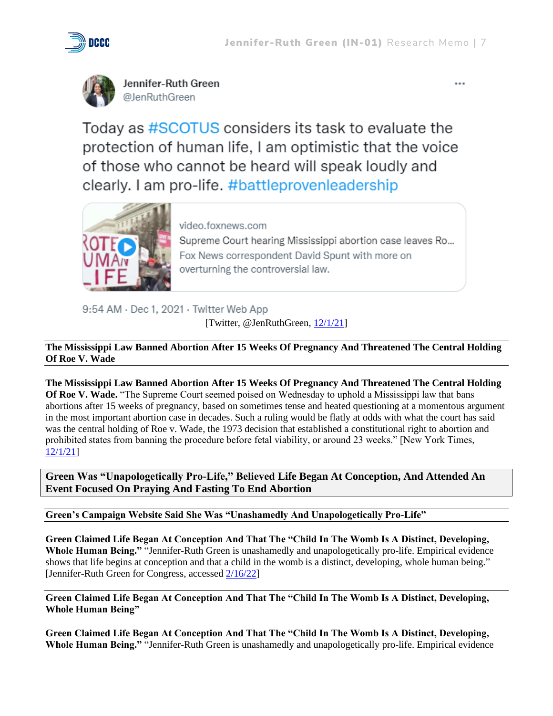

Jennifer-Ruth Green @JenRuthGreen

Today as #SCOTUS considers its task to evaluate the protection of human life, I am optimistic that the voice of those who cannot be heard will speak loudly and clearly. I am pro-life. #battleprovenleadership



video.foxnews.com

Supreme Court hearing Mississippi abortion case leaves Ro... Fox News correspondent David Spunt with more on overturning the controversial law.

9:54 AM · Dec 1, 2021 · Twitter Web App

[Twitter, @JenRuthGreen, [12/1/21\]](https://twitter.com/JenRuthGreen/status/1466058105599500296)

**The Mississippi Law Banned Abortion After 15 Weeks Of Pregnancy And Threatened The Central Holding Of Roe V. Wade**

**The Mississippi Law Banned Abortion After 15 Weeks Of Pregnancy And Threatened The Central Holding Of Roe V. Wade.** "The Supreme Court seemed poised on Wednesday to uphold a Mississippi law that bans abortions after 15 weeks of pregnancy, based on sometimes tense and heated questioning at a momentous argument in the most important abortion case in decades. Such a ruling would be flatly at odds with what the court has said was the central holding of Roe v. Wade, the 1973 decision that established a constitutional right to abortion and prohibited states from banning the procedure before fetal viability, or around 23 weeks." [New York Times, [12/1/21\]](https://www.nytimes.com/live/2021/12/01/us/abortion-mississippi-supreme-court)

**Green Was "Unapologetically Pro-Life," Believed Life Began At Conception, And Attended An Event Focused On Praying And Fasting To End Abortion** 

**Green's Campaign Website Said She Was "Unashamedly And Unapologetically Pro-Life"**

**Green Claimed Life Began At Conception And That The "Child In The Womb Is A Distinct, Developing, Whole Human Being."** "Jennifer-Ruth Green is unashamedly and unapologetically pro-life. Empirical evidence shows that life begins at conception and that a child in the womb is a distinct, developing, whole human being." [Jennifer-Ruth Green for Congress, accessed [2/16/22\]](https://jennifer-ruthgreen.com/issues/)

**Green Claimed Life Began At Conception And That The "Child In The Womb Is A Distinct, Developing, Whole Human Being"**

**Green Claimed Life Began At Conception And That The "Child In The Womb Is A Distinct, Developing, Whole Human Being."** "Jennifer-Ruth Green is unashamedly and unapologetically pro-life. Empirical evidence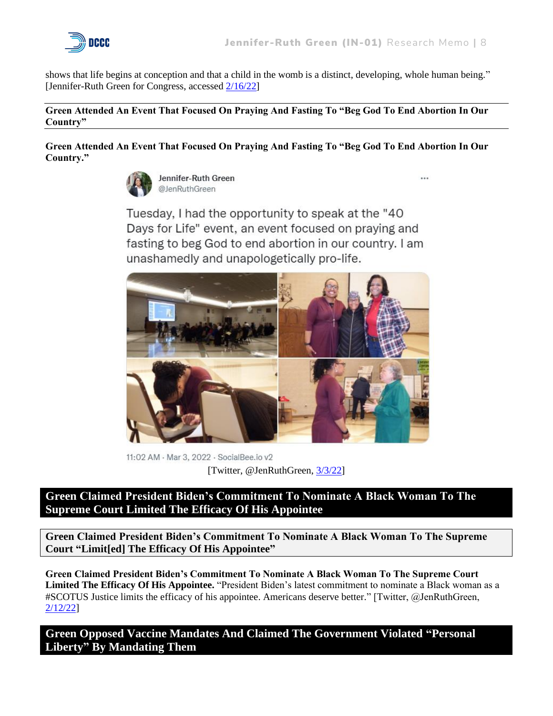

 $\sim$ 

shows that life begins at conception and that a child in the womb is a distinct, developing, whole human being." [Jennifer-Ruth Green for Congress, accessed [2/16/22\]](https://jennifer-ruthgreen.com/issues/)

#### **Green Attended An Event That Focused On Praying And Fasting To "Beg God To End Abortion In Our Country"**

**Green Attended An Event That Focused On Praying And Fasting To "Beg God To End Abortion In Our Country."**



Jennifer-Ruth Green @JenRuthGreen

Tuesday, I had the opportunity to speak at the "40 Days for Life" event, an event focused on praying and fasting to beg God to end abortion in our country. I am unashamedly and unapologetically pro-life.



11:02 AM · Mar 3, 2022 · SocialBee.io v2 [Twitter, @JenRuthGreen, [3/3/22\]](https://twitter.com/JenRuthGreen/status/1499415011248197636)

**Green Claimed President Biden's Commitment To Nominate A Black Woman To The Supreme Court Limited The Efficacy Of His Appointee**

**Green Claimed President Biden's Commitment To Nominate A Black Woman To The Supreme Court "Limit[ed] The Efficacy Of His Appointee"**

**Green Claimed President Biden's Commitment To Nominate A Black Woman To The Supreme Court Limited The Efficacy Of His Appointee.** "President Biden's latest commitment to nominate a Black woman as a #SCOTUS Justice limits the efficacy of his appointee. Americans deserve better." [Twitter, @JenRuthGreen, [2/12/22\]](https://twitter.com/JenRuthGreen/status/1492650065021837316)

**Green Opposed Vaccine Mandates And Claimed The Government Violated "Personal Liberty" By Mandating Them**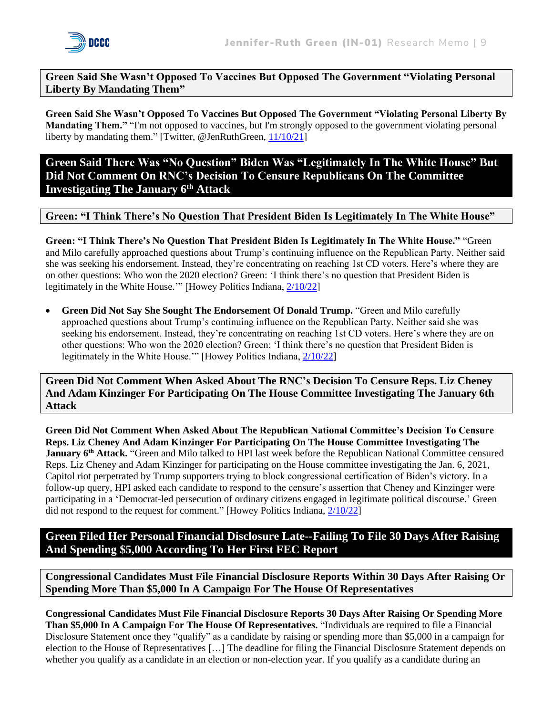

#### **Green Said She Wasn't Opposed To Vaccines But Opposed The Government "Violating Personal Liberty By Mandating Them"**

**Green Said She Wasn't Opposed To Vaccines But Opposed The Government "Violating Personal Liberty By Mandating Them."** "I'm not opposed to vaccines, but I'm strongly opposed to the government violating personal liberty by mandating them." [Twitter, @JenRuthGreen, [11/10/21\]](https://twitter.com/JenRuthGreen/status/1458558122637803527)

**Green Said There Was "No Question" Biden Was "Legitimately In The White House" But Did Not Comment On RNC's Decision To Censure Republicans On The Committee Investigating The January 6th Attack**

#### **Green: "I Think There's No Question That President Biden Is Legitimately In The White House"**

**Green: "I Think There's No Question That President Biden Is Legitimately In The White House."** "Green and Milo carefully approached questions about Trump's continuing influence on the Republican Party. Neither said she was seeking his endorsement. Instead, they're concentrating on reaching 1st CD voters. Here's where they are on other questions: Who won the 2020 election? Green: 'I think there's no question that President Biden is legitimately in the White House.'" [Howey Politics Indiana, [2/10/22\]](https://howeypolitics.com/Files/HPI220210-0c9eca2f09784444b8626960fa851af2.pdf)

• **Green Did Not Say She Sought The Endorsement Of Donald Trump.** "Green and Milo carefully approached questions about Trump's continuing influence on the Republican Party. Neither said she was seeking his endorsement. Instead, they're concentrating on reaching 1st CD voters. Here's where they are on other questions: Who won the 2020 election? Green: 'I think there's no question that President Biden is legitimately in the White House.'" [Howey Politics Indiana, [2/10/22\]](https://howeypolitics.com/Files/HPI220210-0c9eca2f09784444b8626960fa851af2.pdf)

**Green Did Not Comment When Asked About The RNC's Decision To Censure Reps. Liz Cheney And Adam Kinzinger For Participating On The House Committee Investigating The January 6th Attack**

**Green Did Not Comment When Asked About The Republican National Committee's Decision To Censure Reps. Liz Cheney And Adam Kinzinger For Participating On The House Committee Investigating The January 6th Attack.** "Green and Milo talked to HPI last week before the Republican National Committee censured Reps. Liz Cheney and Adam Kinzinger for participating on the House committee investigating the Jan. 6, 2021, Capitol riot perpetrated by Trump supporters trying to block congressional certification of Biden's victory. In a follow-up query, HPI asked each candidate to respond to the censure's assertion that Cheney and Kinzinger were participating in a 'Democrat-led persecution of ordinary citizens engaged in legitimate political discourse.' Green did not respond to the request for comment." [Howey Politics Indiana, [2/10/22\]](https://howeypolitics.com/Files/HPI220210-0c9eca2f09784444b8626960fa851af2.pdf)

**Green Filed Her Personal Financial Disclosure Late--Failing To File 30 Days After Raising And Spending \$5,000 According To Her First FEC Report**

**Congressional Candidates Must File Financial Disclosure Reports Within 30 Days After Raising Or Spending More Than \$5,000 In A Campaign For The House Of Representatives**

**Congressional Candidates Must File Financial Disclosure Reports 30 Days After Raising Or Spending More Than \$5,000 In A Campaign For The House Of Representatives.** "Individuals are required to file a Financial Disclosure Statement once they "qualify" as a candidate by raising or spending more than \$5,000 in a campaign for election to the House of Representatives […] The deadline for filing the Financial Disclosure Statement depends on whether you qualify as a candidate in an election or non-election year. If you qualify as a candidate during an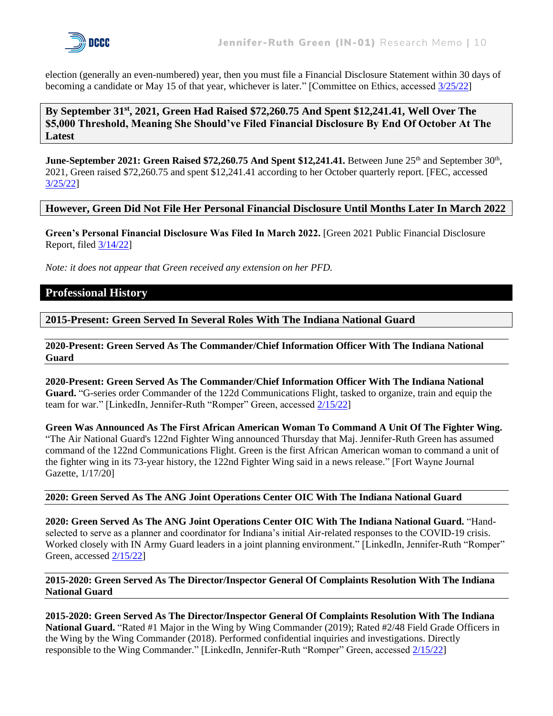

election (generally an even-numbered) year, then you must file a Financial Disclosure Statement within 30 days of becoming a candidate or May 15 of that year, whichever is later." [Committee on Ethics, accessed [3/25/22\]](https://ethics.house.gov/financial-disclosure/general-information-about-financial-disclosure#:~:text=If%20you%20qualify%20as%20a,that%20year%2C%20whichever%20is%20later.)

**By September 31st , 2021, Green Had Raised \$72,260.75 And Spent \$12,241.41, Well Over The \$5,000 Threshold, Meaning She Should've Filed Financial Disclosure By End Of October At The Latest**

**June-September 2021: Green Raised \$72,260.75 And Spent \$12,241.41.** Between June 25<sup>th</sup> and September 30<sup>th</sup>, 2021, Green raised \$72,260.75 and spent \$12,241.41 according to her October quarterly report. [FEC, accessed [3/25/22\]](https://docquery.fec.gov/cgi-bin/forms/C00782797/1543907/)

#### **However, Green Did Not File Her Personal Financial Disclosure Until Months Later In March 2022**

**Green's Personal Financial Disclosure Was Filed In March 2022.** [Green 2021 Public Financial Disclosure Report, file[d 3/14/22\]](https://disclosures-clerk.house.gov/public_disc/financial-pdfs/2021/10044701.pdf)

*Note: it does not appear that Green received any extension on her PFD.* 

#### **Professional History**

**2015-Present: Green Served In Several Roles With The Indiana National Guard**

**2020-Present: Green Served As The Commander/Chief Information Officer With The Indiana National Guard**

**2020-Present: Green Served As The Commander/Chief Information Officer With The Indiana National Guard.** "G-series order Commander of the 122d Communications Flight, tasked to organize, train and equip the team for war." [LinkedIn, Jennifer-Ruth "Romper" Green, accessed [2/15/22\]](https://www.linkedin.com/in/jennifer-ruthgreen/details/experience/)

**Green Was Announced As The First African American Woman To Command A Unit Of The Fighter Wing.** "The Air National Guard's 122nd Fighter Wing announced Thursday that Maj. Jennifer-Ruth Green has assumed command of the 122nd Communications Flight. Green is the first African American woman to command a unit of the fighter wing in its 73-year history, the 122nd Fighter Wing said in a news release." [Fort Wayne Journal Gazette, 1/17/20]

#### **2020: Green Served As The ANG Joint Operations Center OIC With The Indiana National Guard**

**2020: Green Served As The ANG Joint Operations Center OIC With The Indiana National Guard.** "Handselected to serve as a planner and coordinator for Indiana's initial Air-related responses to the COVID-19 crisis. Worked closely with IN Army Guard leaders in a joint planning environment." [LinkedIn, Jennifer-Ruth "Romper" Green, accessed [2/15/22\]](https://www.linkedin.com/in/jennifer-ruthgreen/details/experience/)

#### **2015-2020: Green Served As The Director/Inspector General Of Complaints Resolution With The Indiana National Guard**

**2015-2020: Green Served As The Director/Inspector General Of Complaints Resolution With The Indiana National Guard.** "Rated #1 Major in the Wing by Wing Commander (2019); Rated #2/48 Field Grade Officers in the Wing by the Wing Commander (2018). Performed confidential inquiries and investigations. Directly responsible to the Wing Commander." [LinkedIn, Jennifer-Ruth "Romper" Green, accessed [2/15/22\]](https://www.linkedin.com/in/jennifer-ruthgreen/details/experience/)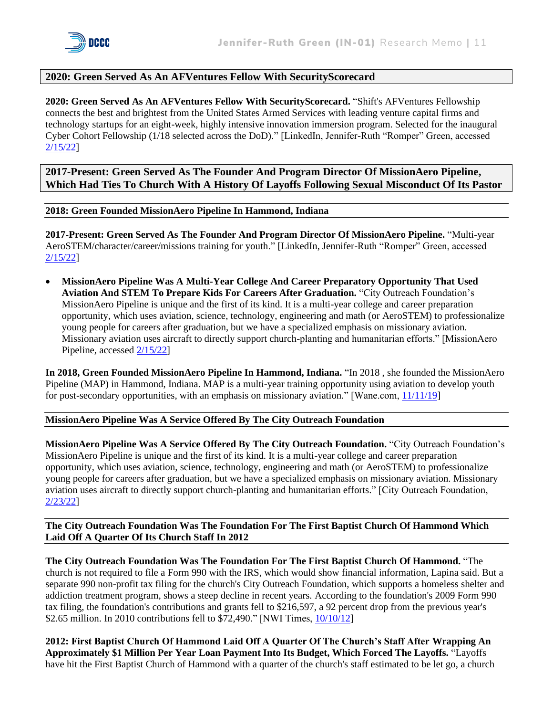#### **2020: Green Served As An AFVentures Fellow With SecurityScorecard**

**2020: Green Served As An AFVentures Fellow With SecurityScorecard.** "Shift's AFVentures Fellowship connects the best and brightest from the United States Armed Services with leading venture capital firms and technology startups for an eight-week, highly intensive innovation immersion program. Selected for the inaugural Cyber Cohort Fellowship (1/18 selected across the DoD)." [LinkedIn, Jennifer-Ruth "Romper" Green, accessed [2/15/22\]](https://www.linkedin.com/in/jennifer-ruthgreen/details/experience/)

**2017-Present: Green Served As The Founder And Program Director Of MissionAero Pipeline, Which Had Ties To Church With A History Of Layoffs Following Sexual Misconduct Of Its Pastor**

**2018: Green Founded MissionAero Pipeline In Hammond, Indiana**

**2017-Present: Green Served As The Founder And Program Director Of MissionAero Pipeline.** "Multi-year AeroSTEM/character/career/missions training for youth." [LinkedIn, Jennifer-Ruth "Romper" Green, accessed [2/15/22\]](https://www.linkedin.com/in/jennifer-ruthgreen/details/experience/)

• **MissionAero Pipeline Was A Multi-Year College And Career Preparatory Opportunity That Used Aviation And STEM To Prepare Kids For Careers After Graduation.** "City Outreach Foundation's MissionAero Pipeline is unique and the first of its kind. It is a multi-year college and career preparation opportunity, which uses aviation, science, technology, engineering and math (or AeroSTEM) to professionalize young people for careers after graduation, but we have a specialized emphasis on missionary aviation. Missionary aviation uses aircraft to directly support church-planting and humanitarian efforts." [MissionAero Pipeline, accessed [2/15/22\]](https://missionaero.org/about/)

**In 2018, Green Founded MissionAero Pipeline In Hammond, Indiana.** "In 2018 , she founded the MissionAero Pipeline (MAP) in Hammond, Indiana. MAP is a multi-year training opportunity using aviation to develop youth for post-secondary opportunities, with an emphasis on missionary aviation." [Wane.com, [11/11/19\]](https://www.wane.com/news/veterans-voices/trailblazing-veteran-looks-to-influence-next-generation-of-aviators/)

#### **MissionAero Pipeline Was A Service Offered By The City Outreach Foundation**

**MissionAero Pipeline Was A Service Offered By The City Outreach Foundation.** "City Outreach Foundation's MissionAero Pipeline is unique and the first of its kind. It is a multi-year college and career preparation opportunity, which uses aviation, science, technology, engineering and math (or AeroSTEM) to professionalize young people for careers after graduation, but we have a specialized emphasis on missionary aviation. Missionary aviation uses aircraft to directly support church-planting and humanitarian efforts." [City Outreach Foundation, [2/23/22\]](https://cityoutreachfoundation.com/project/missionaero/)

#### **The City Outreach Foundation Was The Foundation For The First Baptist Church Of Hammond Which Laid Off A Quarter Of Its Church Staff In 2012**

**The City Outreach Foundation Was The Foundation For The First Baptist Church Of Hammond.** "The church is not required to file a Form 990 with the IRS, which would show financial information, Lapina said. But a separate 990 non-profit tax filing for the church's City Outreach Foundation, which supports a homeless shelter and addiction treatment program, shows a steep decline in recent years. According to the foundation's 2009 Form 990 tax filing, the foundation's contributions and grants fell to \$216,597, a 92 percent drop from the previous year's \$2.65 million. In 2010 contributions fell to \$72,490." [NWI Times, [10/10/12\]](https://www.nwitimes.com/news/local/lake/hammond/layoffs-hit-first-baptist-church-of-hammond/article_96da89d3-6c86-57db-8d70-d0fbcf5e6d80.html)

**2012: First Baptist Church Of Hammond Laid Off A Quarter Of The Church's Staff After Wrapping An Approximately \$1 Million Per Year Loan Payment Into Its Budget, Which Forced The Layoffs.** "Layoffs have hit the First Baptist Church of Hammond with a quarter of the church's staff estimated to be let go, a church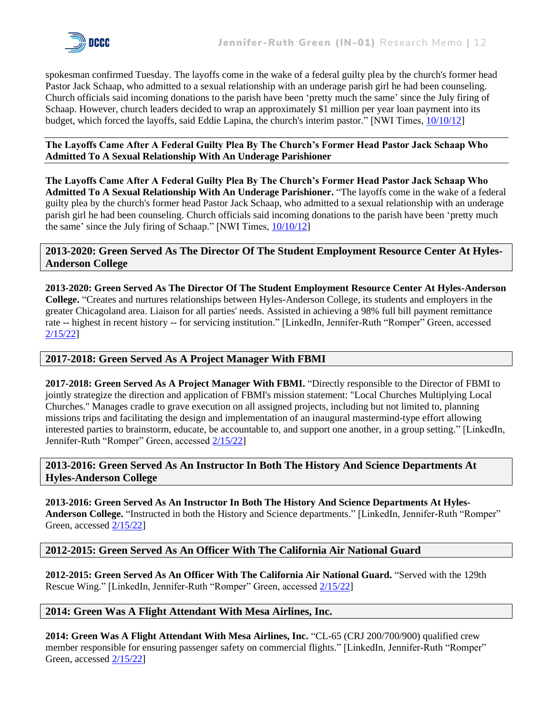spokesman confirmed Tuesday. The layoffs come in the wake of a federal guilty plea by the church's former head Pastor Jack Schaap, who admitted to a sexual relationship with an underage parish girl he had been counseling. Church officials said incoming donations to the parish have been 'pretty much the same' since the July firing of Schaap. However, church leaders decided to wrap an approximately \$1 million per year loan payment into its budget, which forced the layoffs, said Eddie Lapina, the church's interim pastor." [NWI Times, [10/10/12\]](https://www.nwitimes.com/news/local/lake/hammond/layoffs-hit-first-baptist-church-of-hammond/article_96da89d3-6c86-57db-8d70-d0fbcf5e6d80.html)

**The Layoffs Came After A Federal Guilty Plea By The Church's Former Head Pastor Jack Schaap Who Admitted To A Sexual Relationship With An Underage Parishioner**

**The Layoffs Came After A Federal Guilty Plea By The Church's Former Head Pastor Jack Schaap Who Admitted To A Sexual Relationship With An Underage Parishioner.** "The layoffs come in the wake of a federal guilty plea by the church's former head Pastor Jack Schaap, who admitted to a sexual relationship with an underage parish girl he had been counseling. Church officials said incoming donations to the parish have been 'pretty much the same' since the July firing of Schaap." [NWI Times,  $10/10/12$ ]

#### **2013-2020: Green Served As The Director Of The Student Employment Resource Center At Hyles-Anderson College**

**2013-2020: Green Served As The Director Of The Student Employment Resource Center At Hyles-Anderson College.** "Creates and nurtures relationships between Hyles-Anderson College, its students and employers in the greater Chicagoland area. Liaison for all parties' needs. Assisted in achieving a 98% full bill payment remittance rate -- highest in recent history -- for servicing institution." [LinkedIn, Jennifer-Ruth "Romper" Green, accessed [2/15/22\]](https://www.linkedin.com/in/jennifer-ruthgreen/details/experience/)

#### **2017-2018: Green Served As A Project Manager With FBMI**

**2017-2018: Green Served As A Project Manager With FBMI.** "Directly responsible to the Director of FBMI to jointly strategize the direction and application of FBMI's mission statement: "Local Churches Multiplying Local Churches." Manages cradle to grave execution on all assigned projects, including but not limited to, planning missions trips and facilitating the design and implementation of an inaugural mastermind-type effort allowing interested parties to brainstorm, educate, be accountable to, and support one another, in a group setting." [LinkedIn, Jennifer-Ruth "Romper" Green, accessed [2/15/22\]](https://www.linkedin.com/in/jennifer-ruthgreen/details/experience/)

**2013-2016: Green Served As An Instructor In Both The History And Science Departments At Hyles-Anderson College**

**2013-2016: Green Served As An Instructor In Both The History And Science Departments At Hyles-Anderson College.** "Instructed in both the History and Science departments." [LinkedIn, Jennifer-Ruth "Romper" Green, accessed [2/15/22\]](https://www.linkedin.com/in/jennifer-ruthgreen/details/experience/)

#### **2012-2015: Green Served As An Officer With The California Air National Guard**

**2012-2015: Green Served As An Officer With The California Air National Guard.** "Served with the 129th Rescue Wing." [LinkedIn, Jennifer-Ruth "Romper" Green, accessed [2/15/22\]](https://www.linkedin.com/in/jennifer-ruthgreen/details/experience/)

#### **2014: Green Was A Flight Attendant With Mesa Airlines, Inc.**

**2014: Green Was A Flight Attendant With Mesa Airlines, Inc.** "CL-65 (CRJ 200/700/900) qualified crew member responsible for ensuring passenger safety on commercial flights." [LinkedIn, Jennifer-Ruth "Romper" Green, accessed [2/15/22\]](https://www.linkedin.com/in/jennifer-ruthgreen/details/experience/)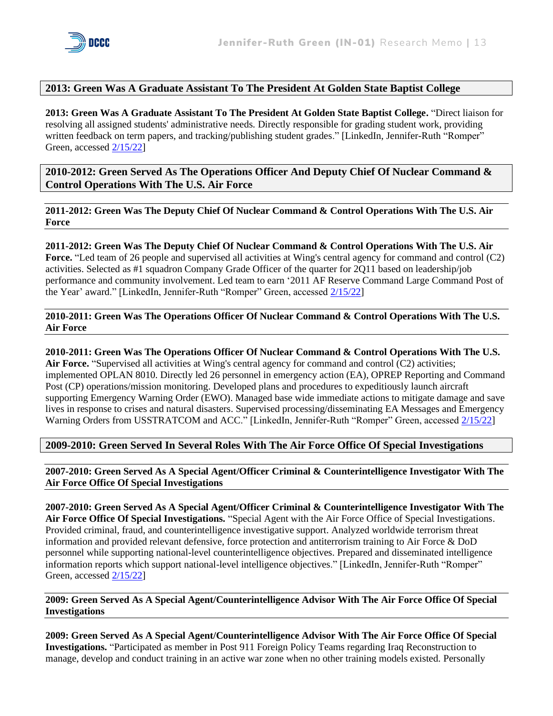

#### **2013: Green Was A Graduate Assistant To The President At Golden State Baptist College**

**2013: Green Was A Graduate Assistant To The President At Golden State Baptist College.** "Direct liaison for resolving all assigned students' administrative needs. Directly responsible for grading student work, providing written feedback on term papers, and tracking/publishing student grades." [LinkedIn, Jennifer-Ruth "Romper" Green, accessed [2/15/22\]](https://www.linkedin.com/in/jennifer-ruthgreen/details/experience/)

**2010-2012: Green Served As The Operations Officer And Deputy Chief Of Nuclear Command & Control Operations With The U.S. Air Force** 

**2011-2012: Green Was The Deputy Chief Of Nuclear Command & Control Operations With The U.S. Air Force**

**2011-2012: Green Was The Deputy Chief Of Nuclear Command & Control Operations With The U.S. Air Force.** "Led team of 26 people and supervised all activities at Wing's central agency for command and control (C2) activities. Selected as #1 squadron Company Grade Officer of the quarter for 2Q11 based on leadership/job performance and community involvement. Led team to earn '2011 AF Reserve Command Large Command Post of the Year' award." [LinkedIn, Jennifer-Ruth "Romper" Green, accessed [2/15/22\]](https://www.linkedin.com/in/jennifer-ruthgreen/details/experience/)

**2010-2011: Green Was The Operations Officer Of Nuclear Command & Control Operations With The U.S. Air Force**

**2010-2011: Green Was The Operations Officer Of Nuclear Command & Control Operations With The U.S.**  Air Force. "Supervised all activities at Wing's central agency for command and control (C2) activities; implemented OPLAN 8010. Directly led 26 personnel in emergency action (EA), OPREP Reporting and Command Post (CP) operations/mission monitoring. Developed plans and procedures to expeditiously launch aircraft supporting Emergency Warning Order (EWO). Managed base wide immediate actions to mitigate damage and save lives in response to crises and natural disasters. Supervised processing/disseminating EA Messages and Emergency Warning Orders from USSTRATCOM and ACC." [LinkedIn, Jennifer-Ruth "Romper" Green, accessed [2/15/22\]](https://www.linkedin.com/in/jennifer-ruthgreen/details/experience/)

**2009-2010: Green Served In Several Roles With The Air Force Office Of Special Investigations** 

**2007-2010: Green Served As A Special Agent/Officer Criminal & Counterintelligence Investigator With The Air Force Office Of Special Investigations**

**2007-2010: Green Served As A Special Agent/Officer Criminal & Counterintelligence Investigator With The Air Force Office Of Special Investigations.** "Special Agent with the Air Force Office of Special Investigations. Provided criminal, fraud, and counterintelligence investigative support. Analyzed worldwide terrorism threat information and provided relevant defensive, force protection and antiterrorism training to Air Force & DoD personnel while supporting national-level counterintelligence objectives. Prepared and disseminated intelligence information reports which support national-level intelligence objectives." [LinkedIn, Jennifer-Ruth "Romper" Green, accessed [2/15/22\]](https://www.linkedin.com/in/jennifer-ruthgreen/details/experience/)

**2009: Green Served As A Special Agent/Counterintelligence Advisor With The Air Force Office Of Special Investigations**

**2009: Green Served As A Special Agent/Counterintelligence Advisor With The Air Force Office Of Special Investigations.** "Participated as member in Post 911 Foreign Policy Teams regarding Iraq Reconstruction to manage, develop and conduct training in an active war zone when no other training models existed. Personally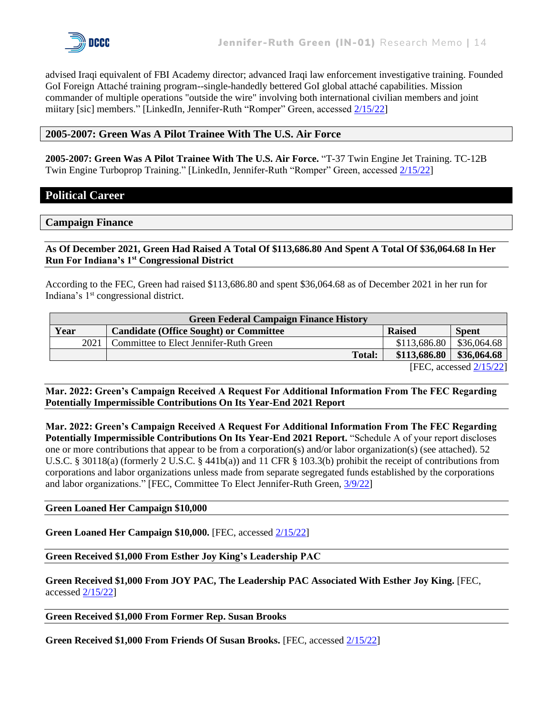advised Iraqi equivalent of FBI Academy director; advanced Iraqi law enforcement investigative training. Founded GoI Foreign Attaché training program--single-handedly bettered GoI global attaché capabilities. Mission commander of multiple operations "outside the wire" involving both international civilian members and joint miitary [sic] members." [LinkedIn, Jennifer-Ruth "Romper" Green, accessed [2/15/22\]](https://www.linkedin.com/in/jennifer-ruthgreen/details/experience/)

#### **2005-2007: Green Was A Pilot Trainee With The U.S. Air Force**

**2005-2007: Green Was A Pilot Trainee With The U.S. Air Force.** "T-37 Twin Engine Jet Training. TC-12B Twin Engine Turboprop Training." [LinkedIn, Jennifer-Ruth "Romper" Green, accesse[d 2/15/22\]](https://www.linkedin.com/in/jennifer-ruthgreen/details/experience/)

#### **Political Career**

#### **Campaign Finance**

**As Of December 2021, Green Had Raised A Total Of \$113,686.80 And Spent A Total Of \$36,064.68 In Her Run For Indiana's 1st Congressional District**

According to the FEC, Green had raised \$113,686.80 and spent \$36,064.68 as of December 2021 in her run for Indiana's 1<sup>st</sup> congressional district.

| <b>Green Federal Campaign Finance History</b> |                                               |               |                          |
|-----------------------------------------------|-----------------------------------------------|---------------|--------------------------|
| Year                                          | <b>Candidate (Office Sought) or Committee</b> | <b>Raised</b> | <b>Spent</b>             |
| 2021                                          | Committee to Elect Jennifer-Ruth Green        | \$113,686.80  | \$36,064.68              |
|                                               | <b>Total:</b>                                 | \$113,686.80  | \$36,064.68              |
|                                               |                                               |               | $ETC$ accessed $2/15/22$ |

 $[FEC, accessed Z/15/Z2]$ 

**Mar. 2022: Green's Campaign Received A Request For Additional Information From The FEC Regarding Potentially Impermissible Contributions On Its Year-End 2021 Report**

**Mar. 2022: Green's Campaign Received A Request For Additional Information From The FEC Regarding Potentially Impermissible Contributions On Its Year-End 2021 Report.** "Schedule A of your report discloses one or more contributions that appear to be from a corporation(s) and/or labor organization(s) (see attached). 52 U.S.C. § 30118(a) (formerly 2 U.S.C. § 441b(a)) and 11 CFR § 103.3(b) prohibit the receipt of contributions from corporations and labor organizations unless made from separate segregated funds established by the corporations and labor organizations." [FEC, Committee To Elect Jennifer-Ruth Green, [3/9/22\]](https://docquery.fec.gov/pdf/991/202203100300136991/202203100300136991.pdf)

#### **Green Loaned Her Campaign \$10,000**

**Green Loaned Her Campaign \$10,000.** [FEC, accessed [2/15/22\]](https://www.fec.gov/data/committee/C00782797/)

**Green Received \$1,000 From Esther Joy King's Leadership PAC**

**Green Received \$1,000 From JOY PAC, The Leadership PAC Associated With Esther Joy King.** [FEC, accessed  $\frac{2}{15/22}$ ]

#### **Green Received \$1,000 From Former Rep. Susan Brooks**

**Green Received \$1,000 From Friends Of Susan Brooks.** [FEC, accesse[d 2/15/22\]](https://www.fec.gov/data/receipts/?committee_id=C00782797&two_year_transaction_period=2022&cycle=2022&line_number=F3-11C&data_type=processed)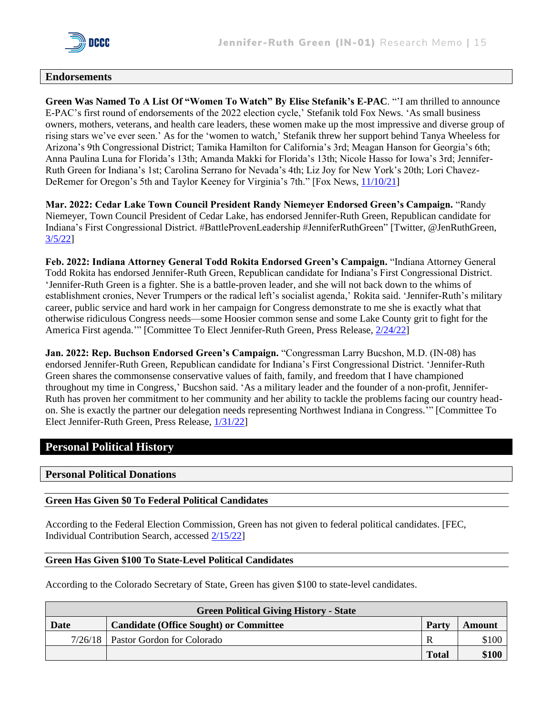

#### **Endorsements**

**Green Was Named To A List Of "Women To Watch" By Elise Stefanik's E-PAC**. "'I am thrilled to announce E-PAC's first round of endorsements of the 2022 election cycle,' Stefanik told Fox News. 'As small business owners, mothers, veterans, and health care leaders, these women make up the most impressive and diverse group of rising stars we've ever seen.' As for the 'women to watch,' Stefanik threw her support behind Tanya Wheeless for Arizona's 9th Congressional District; Tamika Hamilton for California's 3rd; Meagan Hanson for Georgia's 6th; Anna Paulina Luna for Florida's 13th; Amanda Makki for Florida's 13th; Nicole Hasso for Iowa's 3rd; Jennifer-Ruth Green for Indiana's 1st; Carolina Serrano for Nevada's 4th; Liz Joy for New York's 20th; Lori Chavez-DeRemer for Oregon's 5th and Taylor Keeney for Virginia's 7th." [Fox News, [11/10/21\]](https://www.foxnews.com/politics/stefanik-2022-endorsements-republican-women-first-round)

**Mar. 2022: Cedar Lake Town Council President Randy Niemeyer Endorsed Green's Campaign.** "Randy Niemeyer, Town Council President of Cedar Lake, has endorsed Jennifer-Ruth Green, Republican candidate for Indiana's First Congressional District. #BattleProvenLeadership #JenniferRuthGreen" [Twitter, @JenRuthGreen, [3/5/22\]](https://twitter.com/JenRuthGreen/status/1500244997752467461)

**Feb. 2022: Indiana Attorney General Todd Rokita Endorsed Green's Campaign.** "Indiana Attorney General Todd Rokita has endorsed Jennifer-Ruth Green, Republican candidate for Indiana's First Congressional District. 'Jennifer-Ruth Green is a fighter. She is a battle-proven leader, and she will not back down to the whims of establishment cronies, Never Trumpers or the radical left's socialist agenda,' Rokita said. 'Jennifer-Ruth's military career, public service and hard work in her campaign for Congress demonstrate to me she is exactly what that otherwise ridiculous Congress needs—some Hoosier common sense and some Lake County grit to fight for the America First agenda.'" [Committee To Elect Jennifer-Ruth Green, Press Release, [2/24/22\]](https://jennifer-ruthgreen.com/press-release/indiana-attorney-general-todd-rokita-endorses-jennifer-ruth-green-for-congress/)

**Jan. 2022: Rep. Buchson Endorsed Green's Campaign.** "Congressman Larry Bucshon, M.D. (IN-08) has endorsed Jennifer-Ruth Green, Republican candidate for Indiana's First Congressional District. 'Jennifer-Ruth Green shares the commonsense conservative values of faith, family, and freedom that I have championed throughout my time in Congress,' Bucshon said. 'As a military leader and the founder of a non-profit, Jennifer-Ruth has proven her commitment to her community and her ability to tackle the problems facing our country headon. She is exactly the partner our delegation needs representing Northwest Indiana in Congress.'" [Committee To Elect Jennifer-Ruth Green, Press Release, [1/31/22\]](https://jennifer-ruthgreen.com/press-release/congressman-larry-bucshon-in-08-endorses-jennifer-ruth-green-for-congress/)

#### **Personal Political History**

#### **Personal Political Donations**

#### **Green Has Given \$0 To Federal Political Candidates**

According to the Federal Election Commission, Green has not given to federal political candidates. [FEC, Individual Contribution Search, accessed [2/15/22\]](https://www.fec.gov/data/receipts/individual-contributions/?contributor_name=Jennifer+Ruth+Green&contributor_name=Jennifer-Ruth+Green)

#### **Green Has Given \$100 To State-Level Political Candidates**

According to the Colorado Secretary of State, Green has given \$100 to state-level candidates.

| <b>Green Political Giving History - State</b>         |                            |              |        |
|-------------------------------------------------------|----------------------------|--------------|--------|
| <b>Candidate (Office Sought) or Committee</b><br>Date |                            | Party        | Amount |
| 7/26/18                                               | Pastor Gordon for Colorado | R            | \$100  |
|                                                       |                            | <b>Total</b> | \$100  |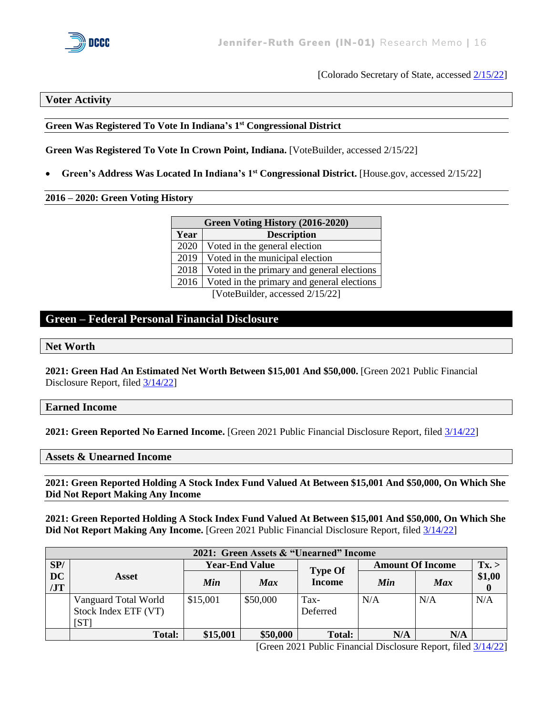

[Colorado Secretary of State, accessed [2/15/22\]](https://tracer.sos.colorado.gov/PublicSite/SearchPages/ContributionSearch.aspx)

#### **Voter Activity**

#### **Green Was Registered To Vote In Indiana's 1 st Congressional District**

**Green Was Registered To Vote In Crown Point, Indiana.** [VoteBuilder, accessed 2/15/22]

• **Green's Address Was Located In Indiana's 1st Congressional District.** [House.gov, accessed 2/15/22]

#### **2016 – 2020: Green Voting History**

| Green Voting History (2016-2020) |                                            |  |  |
|----------------------------------|--------------------------------------------|--|--|
| Year                             | <b>Description</b>                         |  |  |
| 2020                             | Voted in the general election              |  |  |
| 2019                             | Voted in the municipal election            |  |  |
| 2018                             | Voted in the primary and general elections |  |  |
| 2016                             | Voted in the primary and general elections |  |  |
| [VoteBuilder, accessed 2/15/22]  |                                            |  |  |

#### **Green – Federal Personal Financial Disclosure**

**Net Worth** 

**2021: Green Had An Estimated Net Worth Between \$15,001 And \$50,000.** [Green 2021 Public Financial Disclosure Report, filed [3/14/22\]](https://disclosures-clerk.house.gov/public_disc/financial-pdfs/2021/10044701.pdf)

#### **Earned Income**

**2021: Green Reported No Earned Income.** [Green 2021 Public Financial Disclosure Report, filed [3/14/22\]](https://disclosures-clerk.house.gov/public_disc/financial-pdfs/2021/10044701.pdf)

#### **Assets & Unearned Income**

**2021: Green Reported Holding A Stock Index Fund Valued At Between \$15,001 And \$50,000, On Which She Did Not Report Making Any Income** 

**2021: Green Reported Holding A Stock Index Fund Valued At Between \$15,001 And \$50,000, On Which She Did Not Report Making Any Income.** [Green 2021 Public Financial Disclosure Report, filed [3/14/22\]](https://disclosures-clerk.house.gov/public_disc/financial-pdfs/2021/10044701.pdf)

| 2021: Green Assets & "Unearned" Income |                                                      |                       |            |                  |                         |            |                    |
|----------------------------------------|------------------------------------------------------|-----------------------|------------|------------------|-------------------------|------------|--------------------|
| SP/                                    |                                                      | <b>Year-End Value</b> |            | <b>Type Of</b>   | <b>Amount Of Income</b> |            | Tx. >              |
| <b>DC</b><br>JT                        | Asset                                                | Min                   | <b>Max</b> | <b>Income</b>    | Min                     | <b>Max</b> | \$1,00<br>$\bf{0}$ |
|                                        | Vanguard Total World<br>Stock Index ETF (VT)<br>[ST] | \$15,001              | \$50,000   | Tax-<br>Deferred | N/A                     | N/A        | N/A                |
|                                        | <b>Total:</b>                                        | \$15,001              | \$50,000   | <b>Total:</b>    | N/A                     | N/A        |                    |

[Green 2021 Public Financial Disclosure Report, filed [3/14/22\]](https://disclosures-clerk.house.gov/public_disc/financial-pdfs/2021/10044701.pdf)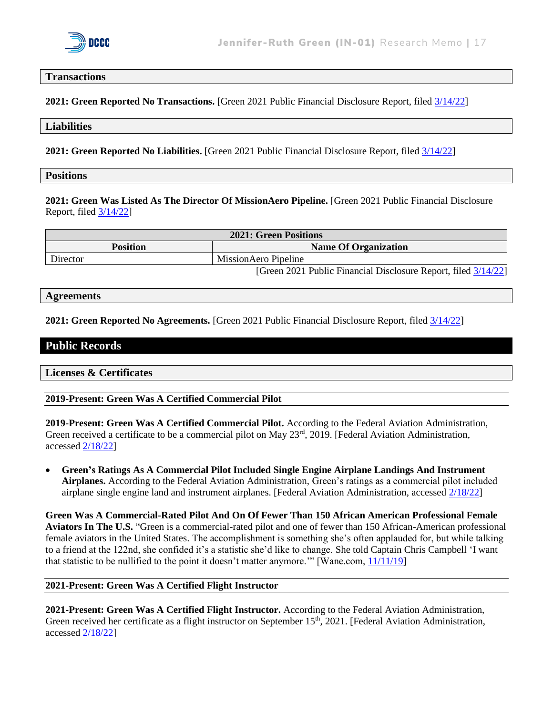

#### **Transactions**

**2021: Green Reported No Transactions.** [Green 2021 Public Financial Disclosure Report, filed [3/14/22\]](https://disclosures-clerk.house.gov/public_disc/financial-pdfs/2021/10044701.pdf)

#### **Liabilities**

**2021: Green Reported No Liabilities.** [Green 2021 Public Financial Disclosure Report, filed [3/14/22\]](https://disclosures-clerk.house.gov/public_disc/financial-pdfs/2021/10044701.pdf)

#### **Positions**

**2021: Green Was Listed As The Director Of MissionAero Pipeline.** [Green 2021 Public Financial Disclosure Report, file[d 3/14/22\]](https://disclosures-clerk.house.gov/public_disc/financial-pdfs/2021/10044701.pdf)

| <b>2021: Green Positions</b> |                                                                |  |
|------------------------------|----------------------------------------------------------------|--|
| <b>Position</b>              | <b>Name Of Organization</b>                                    |  |
| Director                     | <b>MissionAero Pipeline</b>                                    |  |
|                              | [Green 2021 Public Financial Disclosure Report, filed 3/14/22] |  |

#### **Agreements**

**2021: Green Reported No Agreements.** [Green 2021 Public Financial Disclosure Report, filed [3/14/22\]](https://disclosures-clerk.house.gov/public_disc/financial-pdfs/2021/10044701.pdf)

#### **Public Records**

**Licenses & Certificates**

**2019-Present: Green Was A Certified Commercial Pilot** 

**2019-Present: Green Was A Certified Commercial Pilot.** According to the Federal Aviation Administration, Green received a certificate to be a commercial pilot on May  $23<sup>rd</sup>$ , 2019. [Federal Aviation Administration, accessed [2/18/22\]](https://amsrvs.registry.faa.gov/airmeninquiry/Main.aspx)

• **Green's Ratings As A Commercial Pilot Included Single Engine Airplane Landings And Instrument Airplanes.** According to the Federal Aviation Administration, Green's ratings as a commercial pilot included airplane single engine land and instrument airplanes. [Federal Aviation Administration, accessed [2/18/22\]](https://amsrvs.registry.faa.gov/airmeninquiry/Main.aspx)

**Green Was A Commercial-Rated Pilot And On Of Fewer Than 150 African American Professional Female Aviators In The U.S.** "Green is a commercial-rated pilot and one of fewer than 150 African-American professional female aviators in the United States. The accomplishment is something she's often applauded for, but while talking to a friend at the 122nd, she confided it's a statistic she'd like to change. She told Captain Chris Campbell 'I want that statistic to be nullified to the point it doesn't matter anymore.'" [Wane.com, [11/11/19\]](https://www.wane.com/news/veterans-voices/trailblazing-veteran-looks-to-influence-next-generation-of-aviators/)

#### **2021-Present: Green Was A Certified Flight Instructor**

**2021-Present: Green Was A Certified Flight Instructor.** According to the Federal Aviation Administration, Green received her certificate as a flight instructor on September 15<sup>th</sup>, 2021. [Federal Aviation Administration, accessed [2/18/22\]](https://amsrvs.registry.faa.gov/airmeninquiry/Main.aspx)